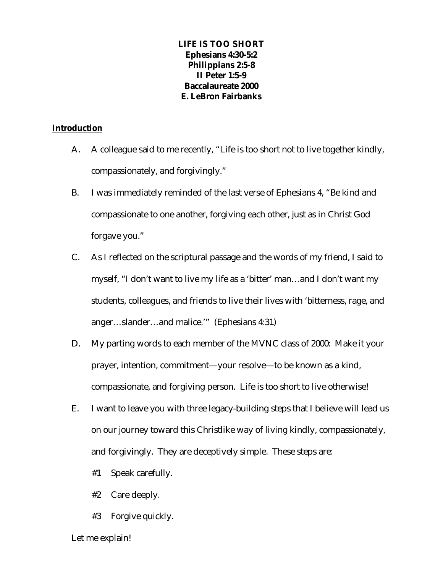# **LIFE IS TOO SHORT Ephesians 4:30-5:2 Philippians 2:5-8 II Peter 1:5-9 Baccalaureate 2000 E. LeBron Fairbanks**

#### **Introduction**

- A. A colleague said to me recently, "Life is too short not to live together kindly, compassionately, and forgivingly."
- B. I was immediately reminded of the last verse of Ephesians 4, "Be kind and compassionate to one another, forgiving each other, just as in Christ God forgave you."
- C. As I reflected on the scriptural passage and the words of my friend, I said to myself, "I don't want to live my life as a 'bitter' man…and I don't want my students, colleagues, and friends to live their lives with 'bitterness, rage, and anger…slander…and malice.'" (Ephesians 4:31)
- D. My parting words to each member of the MVNC class of 2000: Make it your prayer, intention, commitment—your resolve—to be known as a kind, compassionate, and forgiving person. Life is too short to live otherwise!
- E. I want to leave you with three legacy-building steps that I believe will lead us on our journey toward this Christlike way of living kindly, compassionately, and forgivingly. They are deceptively simple. These steps are:
	- #1 Speak carefully.
	- #2 Care deeply.
	- #3 Forgive quickly.

#### Let me explain!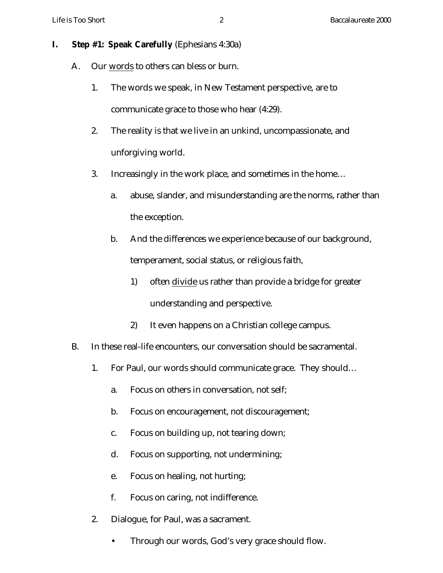# **I. Step #1: Speak Carefully** (Ephesians 4:30a)

- A. Our words to others can bless or burn.
	- 1. The words we speak, in New Testament perspective, are to communicate grace to those who hear (4:29).
	- 2. The reality is that we live in an unkind, uncompassionate, and unforgiving world.
	- 3. Increasingly in the work place, and sometimes in the home…
		- a. abuse, slander, and misunderstanding are the norms, rather than the exception.
		- b. And the differences we experience because of our background, temperament, social status, or religious faith,
			- 1) often divide us rather than provide a bridge for greater understanding and perspective.
			- 2) It even happens on a Christian college campus.
- B. In these real-life encounters, our conversation should be sacramental.
	- 1. For Paul, our words should communicate grace. They should…
		- a. Focus on others in conversation, not self;
		- b. Focus on encouragement, not discouragement;
		- c. Focus on building up, not tearing down;
		- d. Focus on supporting, not undermining;
		- e. Focus on healing, not hurting;
		- f. Focus on caring, not indifference.
	- 2. Dialogue, for Paul, was a sacrament.
		- Through our words, God's very grace should flow.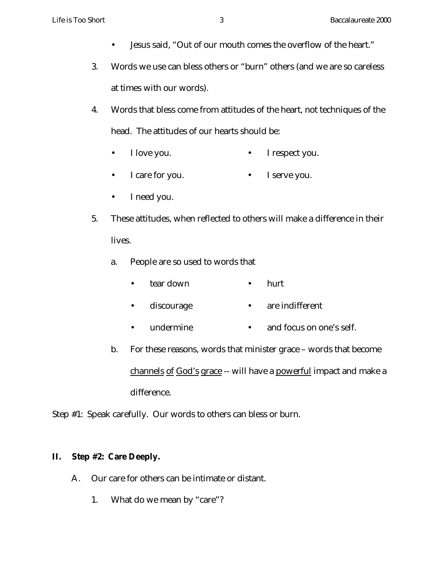- Jesus said, "Out of our mouth comes the overflow of the heart."
- 3. Words we use can bless others or "burn" others (and we are so careless at times with our words).
- 4. Words that bless come from attitudes of the heart, not techniques of the head. The attitudes of our hearts should be:
	- I love you. I respect you.
	- I care for you. • I serve you.
	- I need you.
- 5. These attitudes, when reflected to others will make a difference in their lives.
	- a. People are so used to words that
		- tear down • hurt
		- discourage • are indifferent
		- undermine • and focus on one's self.
	- b. For these reasons, words that minister grace words that become channels of God's grace -- will have a powerful impact and make a difference.

Step #1: Speak carefully. Our words to others can bless or burn.

# **II. Step #2: Care Deeply.**

- A. Our care for others can be intimate or distant.
	- 1. What do we mean by "care"?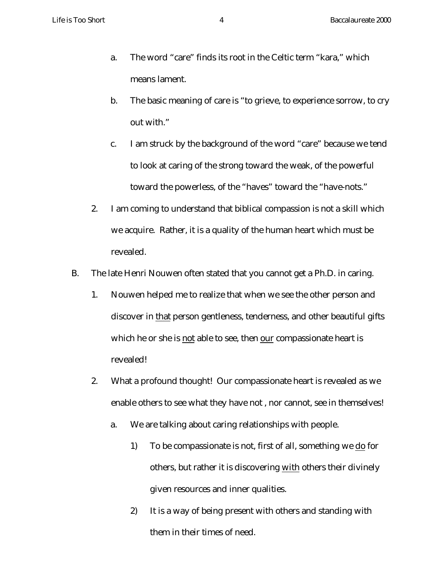- a. The word "care" finds its root in the Celtic term "kara," which means lament.
- b. The basic meaning of care is "to grieve, to experience sorrow, to cry out with."
- c. I am struck by the background of the word "care" because we tend to look at caring of the strong toward the weak, of the powerful toward the powerless, of the "haves" toward the "have-nots."
- 2. I am coming to understand that biblical compassion is not a skill which we acquire. Rather, it is a quality of the human heart which must be revealed.
- B. The late Henri Nouwen often stated that you cannot get a Ph.D. in caring.
	- 1. Nouwen helped me to realize that when we see the other person and discover in that person gentleness, tenderness, and other beautiful gifts which he or she is not able to see, then our compassionate heart is revealed!
	- 2. What a profound thought! Our compassionate heart is revealed as we enable others to see what they have not , nor cannot, see in themselves!
		- a. We are talking about caring relationships with people.
			- 1) To be compassionate is not, first of all, something we do for others, but rather it is discovering with others their divinely given resources and inner qualities.
			- 2) It is a way of being present with others and standing with them in their times of need.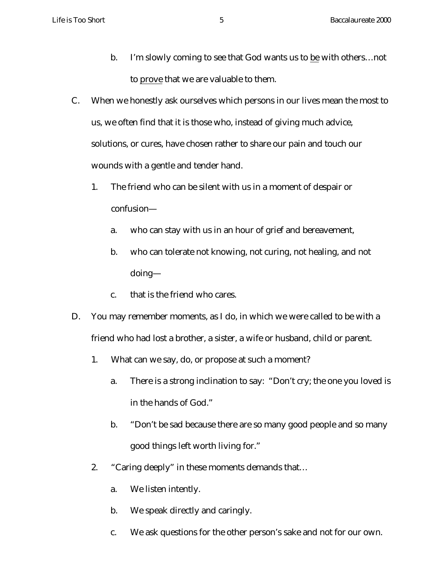- b. I'm slowly coming to see that God wants us to be with others…not to prove that we are valuable to them.
- C. When we honestly ask ourselves which persons in our lives mean the most to us, we often find that it is those who, instead of giving much advice, solutions, or cures, have chosen rather to share our pain and touch our wounds with a gentle and tender hand.
	- 1. The friend who can be silent with us in a moment of despair or confusion
		- a. who can stay with us in an hour of grief and bereavement,
		- b. who can tolerate not knowing, not curing, not healing, and not doing—
		- c. that is the friend who cares.
- D. You may remember moments, as I do, in which we were called to be with a friend who had lost a brother, a sister, a wife or husband, child or parent.
	- 1. What can we say, do, or propose at such a moment?
		- a. There is a strong inclination to say: "Don't cry; the one you loved is in the hands of God."
		- b. "Don't be sad because there are so many good people and so many good things left worth living for."
	- 2. "Caring deeply" in these moments demands that…
		- a. We listen intently.
		- b. We speak directly and caringly.
		- c. We ask questions for the other person's sake and not for our own.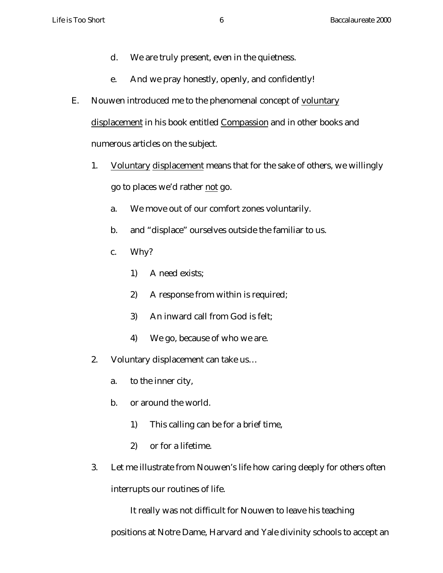- d. We are truly present, even in the quietness.
- e. And we pray honestly, openly, and confidently!
- E. Nouwen introduced me to the phenomenal concept of voluntary displacement in his book entitled Compassion and in other books and numerous articles on the subject.
	- 1. Voluntary displacement means that for the sake of others, we willingly go to places we'd rather not go.
		- a. We move out of our comfort zones voluntarily.
		- b. and "displace" ourselves outside the familiar to us.
		- c. Why?
			- 1) A need exists;
			- 2) A response from within is required;
			- 3) An inward call from God is felt;
			- 4) We go, because of who we are.
	- 2. Voluntary displacement can take us…
		- a. to the inner city,
		- b. or around the world.
			- 1) This calling can be for a brief time,
			- 2) or for a lifetime.
	- 3. Let me illustrate from Nouwen's life how caring deeply for others often interrupts our routines of life.

It really was not difficult for Nouwen to leave his teaching

positions at Notre Dame, Harvard and Yale divinity schools to accept an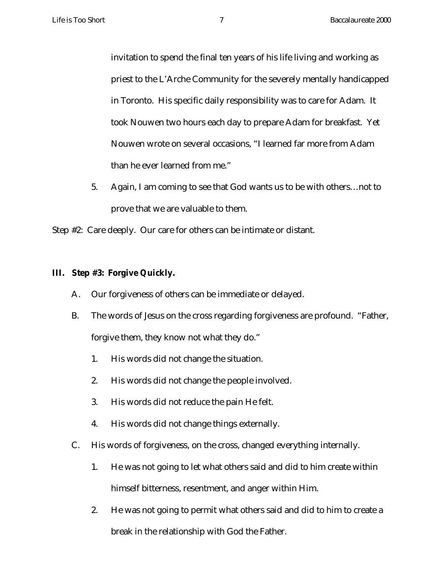invitation to spend the final ten years of his life living and working as priest to the L'Arche Community for the severely mentally handicapped in Toronto. His specific daily responsibility was to care for Adam. It took Nouwen two hours each day to prepare Adam for breakfast. Yet Nouwen wrote on several occasions, "I learned far more from Adam than he ever learned from me."

5. Again, I am coming to see that God wants us to be with others…not to prove that we are valuable to them.

Step #2: Care deeply. Our care for others can be intimate or distant.

## **III. Step #3: Forgive Quickly.**

- A. Our forgiveness of others can be immediate or delayed.
- B. The words of Jesus on the cross regarding forgiveness are profound. "Father, forgive them, they know not what they do."
	- 1. His words did not change the situation.
	- 2. His words did not change the people involved.
	- 3. His words did not reduce the pain He felt.
	- 4. His words did not change things externally.
- C. His words of forgiveness, on the cross, changed everything internally.
	- 1. He was not going to let what others said and did to him create within himself bitterness, resentment, and anger within Him.
	- 2. He was not going to permit what others said and did to him to create a break in the relationship with God the Father.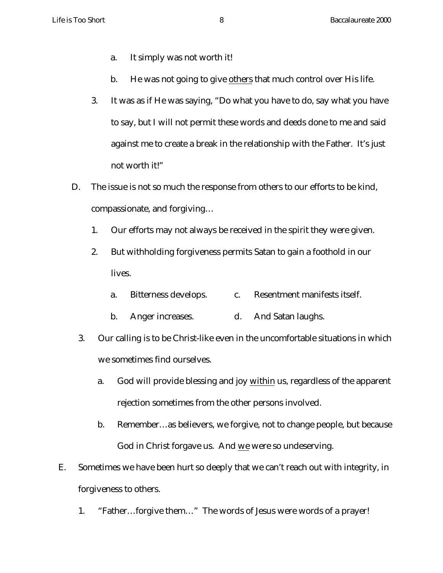- a. It simply was not worth it!
- b. He was not going to give others that much control over His life.
- 3. It was as if He was saying, "Do what you have to do, say what you have to say, but I will not permit these words and deeds done to me and said against me to create a break in the relationship with the Father. It's just not worth it!"
- D. The issue is not so much the response from others to our efforts to be kind, compassionate, and forgiving…
	- 1. Our efforts may not always be received in the spirit they were given.
	- 2. But withholding forgiveness permits Satan to gain a foothold in our lives.
		- a. Bitterness develops. c. Resentment manifests itself.
		- b. Anger increases. d. And Satan laughs.
	- 3. Our calling is to be Christ-like even in the uncomfortable situations in which we sometimes find ourselves.
		- a. God will provide blessing and joy within us, regardless of the apparent rejection sometimes from the other persons involved.
		- b. Remember…as believers, we forgive, not to change people, but because God in Christ forgave us. And we were so undeserving.
- E. Sometimes we have been hurt so deeply that we can't reach out with integrity, in forgiveness to others.
	- 1. "Father…forgive them…" The words of Jesus were words of a prayer!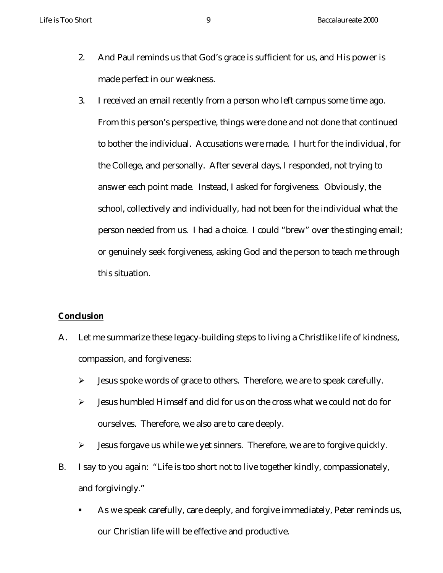- 2. And Paul reminds us that God's grace is sufficient for us, and His power is made perfect in our weakness.
- 3. I received an email recently from a person who left campus some time ago. From this person's perspective, things were done and not done that continued to bother the individual. Accusations were made. I hurt for the individual, for the College, and personally. After several days, I responded, not trying to answer each point made. Instead, I asked for forgiveness. Obviously, the school, collectively and individually, had not been for the individual what the person needed from us. I had a choice. I could "brew" over the stinging email; or genuinely seek forgiveness, asking God and the person to teach me through this situation.

## **Conclusion**

- A. Let me summarize these legacy-building steps to living a Christlike life of kindness, compassion, and forgiveness:
	- $\triangleright$  Jesus spoke words of grace to others. Therefore, we are to speak carefully.
	- $\triangleright$  Jesus humbled Himself and did for us on the cross what we could not do for ourselves. Therefore, we also are to care deeply.
	- $\triangleright$  Jesus forgave us while we yet sinners. Therefore, we are to forgive quickly.
- B. I say to you again: "Life is too short not to live together kindly, compassionately, and forgivingly."
	- **BED As we speak carefully, care deeply, and forgive immediately, Peter reminds us,** our Christian life will be effective and productive.